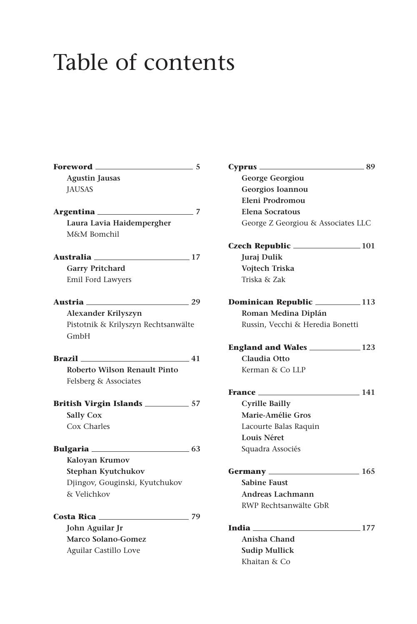## Table of contents

| Foreword                            | 5    |
|-------------------------------------|------|
| <b>Agustin Jausas</b>               |      |
| <b>JAUSAS</b>                       |      |
| Argentina                           | 7    |
| Laura Lavia Haidempergher           |      |
| M&M Bomchil                         |      |
| Australia                           | 17   |
| <b>Garry Pritchard</b>              |      |
| Emil Ford Lawyers                   |      |
| Austria                             | 29   |
| Alexander Krilyszyn                 |      |
| Pistotnik & Krilyszyn Rechtsanwälte |      |
| GmbH                                |      |
| <b>Brazil</b>                       | 41   |
| Roberto Wilson Renault Pinto        |      |
| Felsberg & Associates               |      |
|                                     |      |
| <b>Sally Cox</b>                    |      |
| Cox Charles                         |      |
|                                     | - 63 |
| Kaloyan Krumov                      |      |
| Stephan Kyutchukov                  |      |
| Djingov, Gouginski, Kyutchukov      |      |
| & Velichkov                         |      |
| Costa Rica _____                    | 79   |
| John Aguilar Jr                     |      |
| <b>Marco Solano-Gomez</b>           |      |
| Aguilar Castillo Love               |      |

| $-5$ | $\sim$ 89                              |        |
|------|----------------------------------------|--------|
|      | George Georgiou                        |        |
|      | Georgios Ioannou                       |        |
|      | Eleni Prodromou                        |        |
| - 7  | <b>Elena Socratous</b>                 |        |
|      | George Z Georgiou & Associates LLC     |        |
|      |                                        |        |
| 17   | Juraj Dulik                            |        |
|      | Vojtech Triska                         |        |
|      | Triska & Zak                           |        |
| 29   | <b>Dominican Republic 2008 2013</b>    |        |
|      | Roman Medina Diplán                    |        |
| te   | Russin, Vecchi & Heredia Bonetti       |        |
|      | England and Wales _____________123     |        |
| 41   | Claudia Otto                           |        |
|      | Kerman & Co LLP                        |        |
|      | $\frac{141}{2}$                        |        |
| 57   | <b>Cyrille Bailly</b>                  |        |
|      | Marie-Amélie Gros                      |        |
|      | Lacourte Balas Raquin                  |        |
|      | Louis Néret                            |        |
| 63   | Squadra Associés                       |        |
|      | Germany __________________________ 165 |        |
|      | <b>Sabine Faust</b>                    |        |
|      | Andreas Lachmann                       |        |
|      | RWP Rechtsanwälte GbR                  |        |
| 79   |                                        |        |
|      | <b>India</b>                           | $-177$ |
|      | Anisha Chand                           |        |
|      | <b>Sudip Mullick</b>                   |        |
|      | Khaitan & Co                           |        |